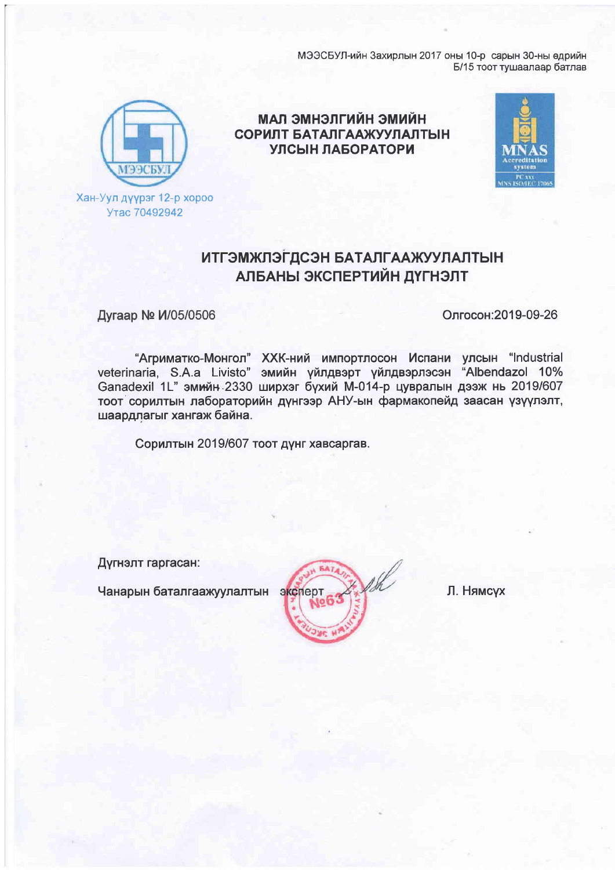МЭЭСБУЛ-ийн Захирлын 2017 оны 10-р сарын 30-ны өдрийн Б/15 тоот тушаалаар батлав



Хан-Уул дүүрэг 12-р хороо Утас 70492942

НЙНИС НЙНТПЕНМЕ ПАМ СОРИЛТ БАТАЛГААЖУУЛАЛТЫН УЛСЫН ЛАБОРАТОРИ



## **ИТГЭМЖЛЭГДСЭН БАТАЛГААЖУУЛАЛТЫН** АЛБАНЫ ЭКСПЕРТИЙН ДҮГНЭЛТ

Дугаар № И/05/0506

Олгосон: 2019-09-26

"Агриматко-Монгол" ХХК-ний импортлосон Испани улсын "Industrial<br>veterinaria, S.A.a Livisto" эмийн үйлдвэрт үйлдвэрлэсэн "Albendazol 10%<br>Ganadexil 1L" эмийн 2330 ширхэг бүхий М-014-р цувралын дээж нь 2019/607 тоот сорилтын лабораторийн дүнгээр АНУ-ын фармакопейд заасан үзүүлэлт, шаардлагыг хангаж байна.

Сорилтын 2019/607 тоот дүнг хавсаргав.

Дүгнэлт гаргасан:

Чанарын баталгаажуулалтын эксперт

Л. Нямсух